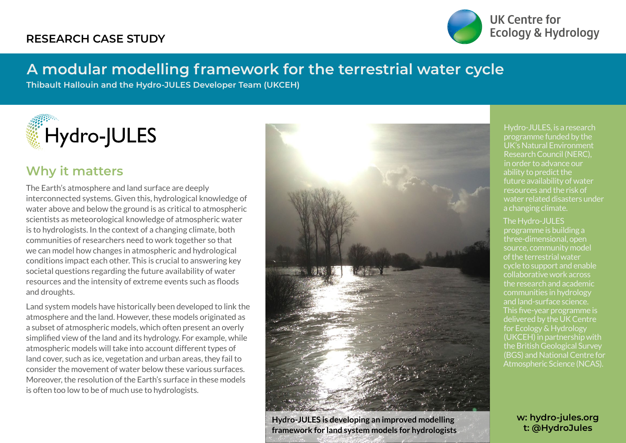### **RESEARCH CASE STUDY**



UK Centre for **Ecology & Hydrology** 

# **A modular modelling framework for the terrestrial water cycle**

**Thibault Hallouin and the Hydro-JULES Developer Team (UKCEH)**



### **Why it matters**

The Earth's atmosphere and land surface are deeply interconnected systems. Given this, hydrological knowledge of water above and below the ground is as critical to atmospheric scientists as meteorological knowledge of atmospheric water is to hydrologists. In the context of a changing climate, both communities of researchers need to work together so that we can model how changes in atmospheric and hydrological conditions impact each other. This is crucial to answering key societal questions regarding the future availability of water resources and the intensity of extreme events such as floods and droughts.

Land system models have historically been developed to link the atmosphere and the land. However, these models originated as a subset of atmospheric models, which often present an overly simplified view of the land and its hydrology. For example, while atmospheric models will take into account different types of land cover, such as ice, vegetation and urban areas, they fail to consider the movement of water below these various surfaces. Moreover, the resolution of the Earth's surface in these models is often too low to be of much use to hydrologists.



**Hydro-JULES is developing an improved modelling framework for land system models for hydrologists**

Hydro-JULES, is a research programme funded by the UK's Natural Environment Research Council (NERC), in order to advance our ability to predict the future availability of water resources and the risk of water related disasters under a changing climate.

#### The Hydro-JULES

programme is building a three-dimensional, open source, community model of the terrestrial water cycle to support and enable collaborative work across the research and academic communities in hydrology and land-surface science. This five-year programme is delivered by the UK Centre for Ecology & Hydrology (UKCEH) in partnership with the British Geological Survey (BGS) and National Centre for Atmospheric Science (NCAS).

> **w: hydro-jules.org t: @HydroJules**